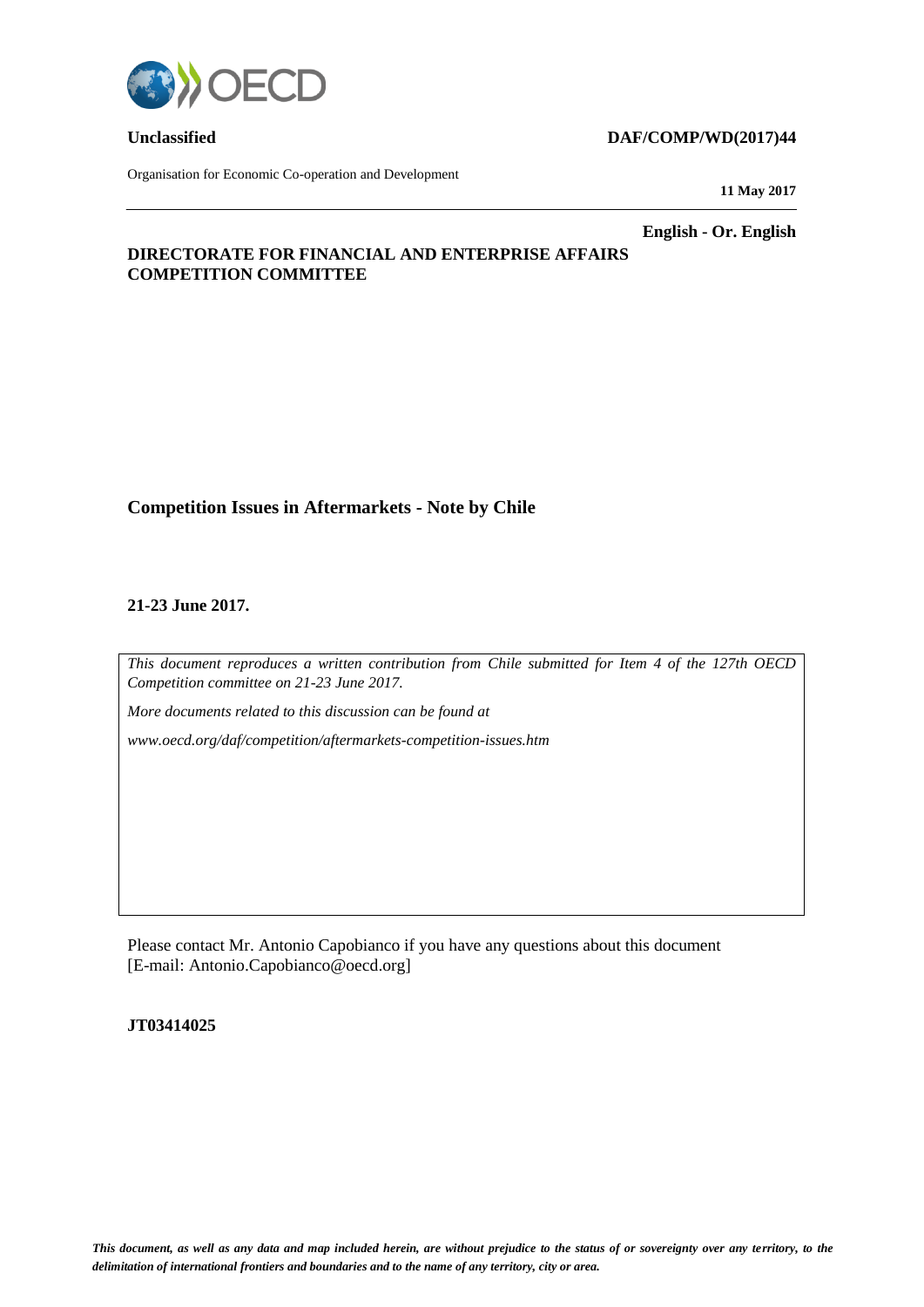

Organisation for Economic Co-operation and Development

## **Unclassified DAF/COMP/WD(2017)44**

**11 May 2017**

**English - Or. English**

## **DIRECTORATE FOR FINANCIAL AND ENTERPRISE AFFAIRS COMPETITION COMMITTEE**

## **Competition Issues in Aftermarkets - Note by Chile**

### **21-23 June 2017.**

*This document reproduces a written contribution from Chile submitted for Item 4 of the 127th OECD Competition committee on 21-23 June 2017.*

*More documents related to this discussion can be found at* 

*www.oecd.org/daf/competition/aftermarkets-competition-issues.htm*

Please contact Mr. Antonio Capobianco if you have any questions about this document [E-mail: Antonio.Capobianco@oecd.org]

### **JT03414025**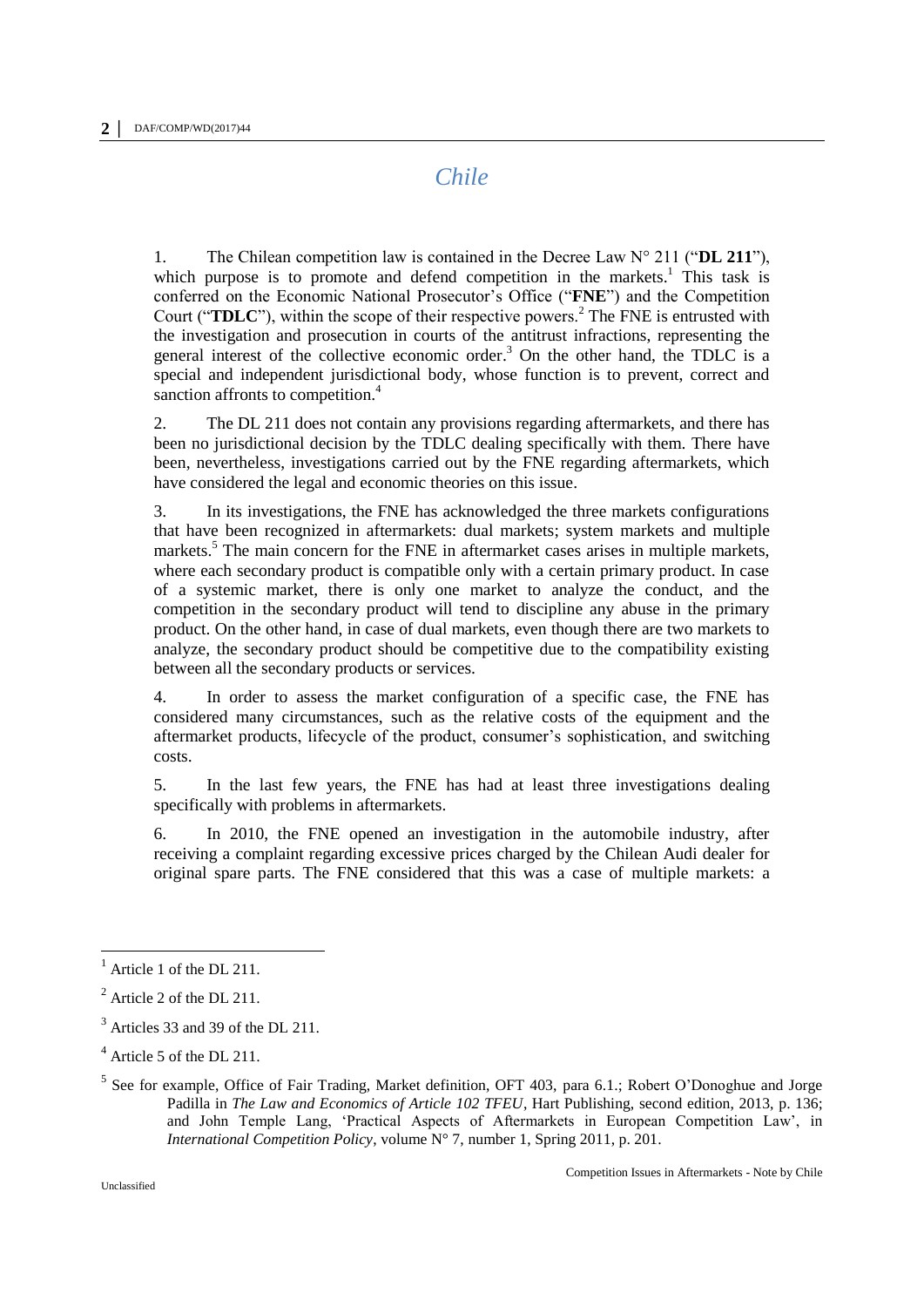# *Chile*

1. The Chilean competition law is contained in the Decree Law N° 211 ("**DL 211**"), which purpose is to promote and defend competition in the markets.<sup>1</sup> This task is conferred on the Economic National Prosecutor's Office ("**FNE**") and the Competition Court ("**TDLC**"), within the scope of their respective powers.<sup>2</sup> The FNE is entrusted with the investigation and prosecution in courts of the antitrust infractions, representing the general interest of the collective economic order. <sup>3</sup> On the other hand, the TDLC is a special and independent jurisdictional body, whose function is to prevent, correct and sanction affronts to competition.<sup>4</sup>

2. The DL 211 does not contain any provisions regarding aftermarkets, and there has been no jurisdictional decision by the TDLC dealing specifically with them. There have been, nevertheless, investigations carried out by the FNE regarding aftermarkets, which have considered the legal and economic theories on this issue.

3. In its investigations, the FNE has acknowledged the three markets configurations that have been recognized in aftermarkets: dual markets; system markets and multiple markets.<sup>5</sup> The main concern for the FNE in aftermarket cases arises in multiple markets, where each secondary product is compatible only with a certain primary product. In case of a systemic market, there is only one market to analyze the conduct, and the competition in the secondary product will tend to discipline any abuse in the primary product. On the other hand, in case of dual markets, even though there are two markets to analyze, the secondary product should be competitive due to the compatibility existing between all the secondary products or services.

4. In order to assess the market configuration of a specific case, the FNE has considered many circumstances, such as the relative costs of the equipment and the aftermarket products, lifecycle of the product, consumer's sophistication, and switching costs.

5. In the last few years, the FNE has had at least three investigations dealing specifically with problems in aftermarkets.

6. In 2010, the FNE opened an investigation in the automobile industry, after receiving a complaint regarding excessive prices charged by the Chilean Audi dealer for original spare parts. The FNE considered that this was a case of multiple markets: a

 $\overline{a}$ 

 $<sup>1</sup>$  Article 1 of the DL 211.</sup>

 $2$  Article 2 of the DL 211.

 $3$  Articles 33 and 39 of the DL 211.

<sup>4</sup> Article 5 of the DL 211.

<sup>&</sup>lt;sup>5</sup> See for example, Office of Fair Trading, Market definition, OFT 403, para 6.1.; Robert O'Donoghue and Jorge Padilla in *The Law and Economics of Article 102 TFEU*, Hart Publishing, second edition, 2013, p. 136; and John Temple Lang, 'Practical Aspects of Aftermarkets in European Competition Law', in *International Competition Policy*, volume N° 7, number 1, Spring 2011, p. 201.